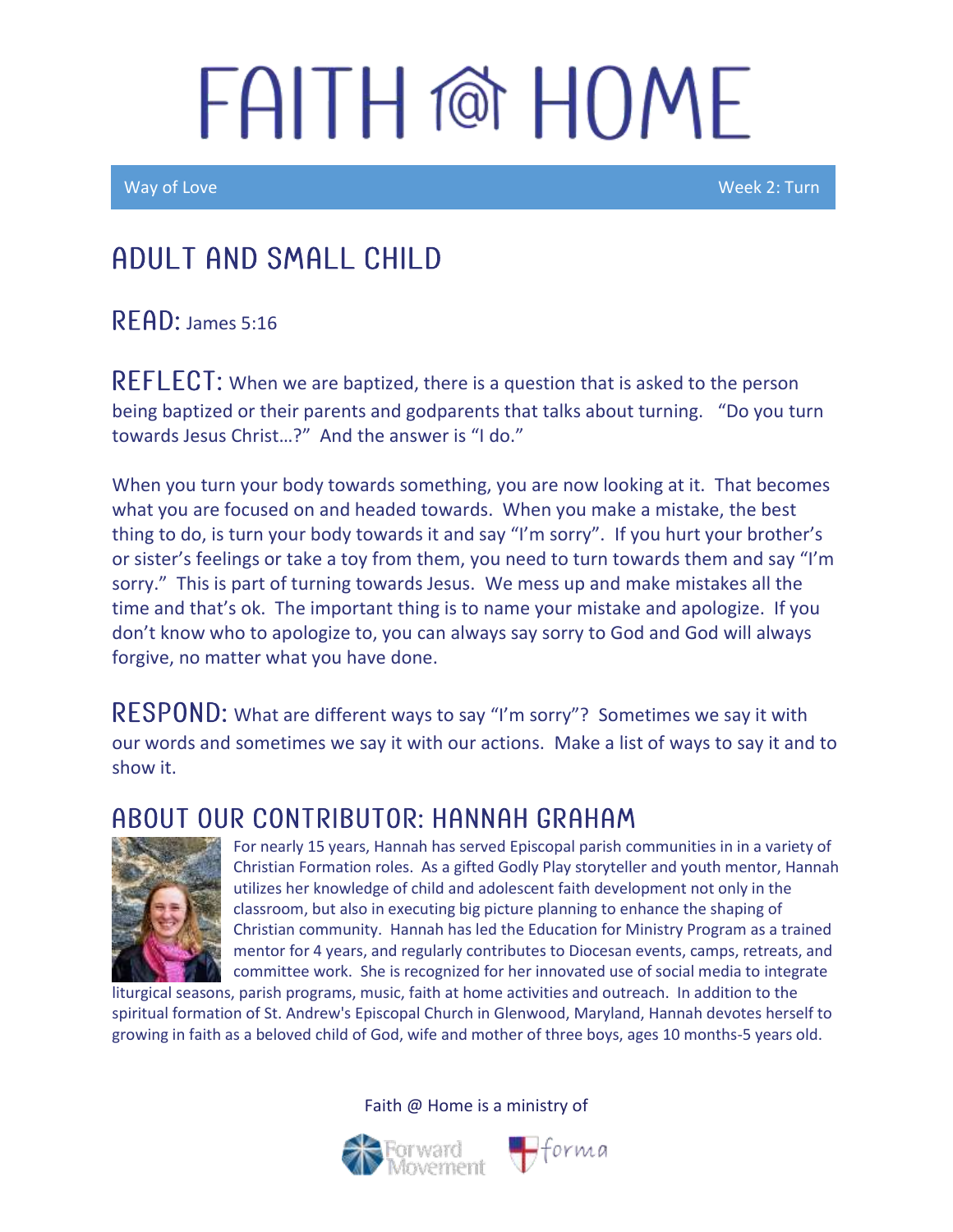Way of Love New York 2: Turn and the United States of the United States and Week 2: Turn

### Adult and Small Child

 $R$  FAD: James 5:16

 $REFLECT$ : When we are baptized, there is a question that is asked to the person being baptized or their parents and godparents that talks about turning. "Do you turn towards Jesus Christ…?" And the answer is "I do."

When you turn your body towards something, you are now looking at it. That becomes what you are focused on and headed towards. When you make a mistake, the best thing to do, is turn your body towards it and say "I'm sorry". If you hurt your brother's or sister's feelings or take a toy from them, you need to turn towards them and say "I'm sorry." This is part of turning towards Jesus. We mess up and make mistakes all the time and that's ok. The important thing is to name your mistake and apologize. If you don't know who to apologize to, you can always say sorry to God and God will always forgive, no matter what you have done.

RESPOND: What are different ways to say "I'm sorry"? Sometimes we say it with our words and sometimes we say it with our actions. Make a list of ways to say it and to show it.

#### A BOUT OUR CONTRIBUTOR: HANNAH GRAHAM



For nearly 15 years, Hannah has served Episcopal parish communities in in a variety of Christian Formation roles. As a gifted Godly Play storyteller and youth mentor, Hannah utilizes her knowledge of child and adolescent faith development not only in the classroom, but also in executing big picture planning to enhance the shaping of Christian community. Hannah has led the Education for Ministry Program as a trained mentor for 4 years, and regularly contributes to Diocesan events, camps, retreats, and committee work. She is recognized for her innovated use of social media to integrate

liturgical seasons, parish programs, music, faith at home activities and outreach. In addition to the spiritual formation of St. Andrew's Episcopal Church in Glenwood, Maryland, Hannah devotes herself to growing in faith as a beloved child of God, wife and mother of three boys, ages 10 months-5 years old.

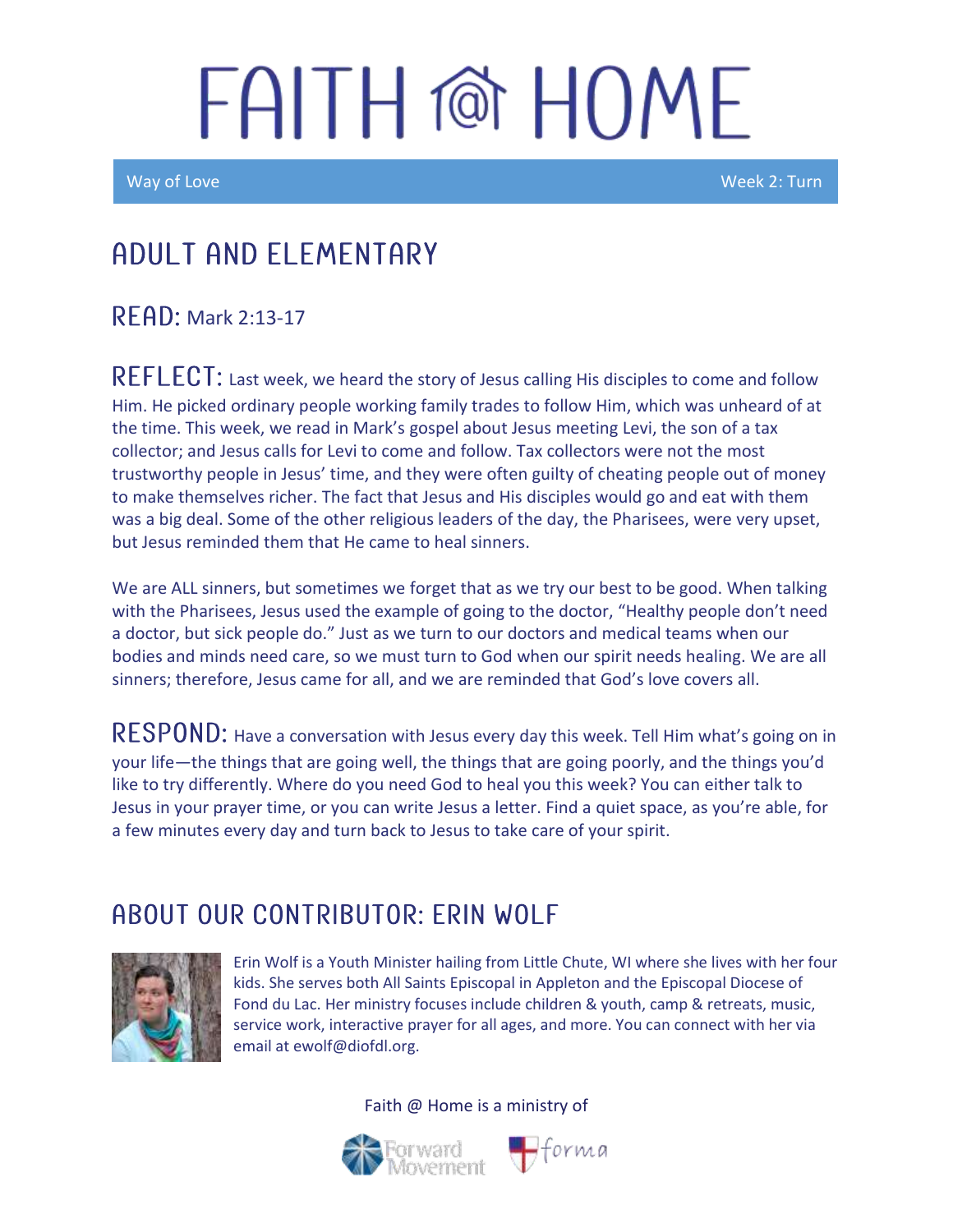Ī

Way of Love Week 2: Turn

## Adult and elementary

#### **READ: Mark 2:13-17**

REFLECT: Last week, we heard the story of Jesus calling His disciples to come and follow Him. He picked ordinary people working family trades to follow Him, which was unheard of at the time. This week, we read in Mark's gospel about Jesus meeting Levi, the son of a tax collector; and Jesus calls for Levi to come and follow. Tax collectors were not the most trustworthy people in Jesus' time, and they were often guilty of cheating people out of money to make themselves richer. The fact that Jesus and His disciples would go and eat with them was a big deal. Some of the other religious leaders of the day, the Pharisees, were very upset, but Jesus reminded them that He came to heal sinners.

We are ALL sinners, but sometimes we forget that as we try our best to be good. When talking with the Pharisees, Jesus used the example of going to the doctor, "Healthy people don't need a doctor, but sick people do." Just as we turn to our doctors and medical teams when our bodies and minds need care, so we must turn to God when our spirit needs healing. We are all sinners; therefore, Jesus came for all, and we are reminded that God's love covers all.

RESPOND: Have a conversation with Jesus every day this week. Tell Him what's going on in your life—the things that are going well, the things that are going poorly, and the things you'd like to try differently. Where do you need God to heal you this week? You can either talk to Jesus in your prayer time, or you can write Jesus a letter. Find a quiet space, as you're able, for a few minutes every day and turn back to Jesus to take care of your spirit.

### ABOUT OUR CONTRIBUTOR: ERIN WOLF



Erin Wolf is a Youth Minister hailing from Little Chute, WI where she lives with her four kids. She serves both All Saints Episcopal in Appleton and the Episcopal Diocese of Fond du Lac. Her ministry focuses include children & youth, camp & retreats, music, service work, interactive prayer for all ages, and more. You can connect with her via email at ewolf@diofdl.org.



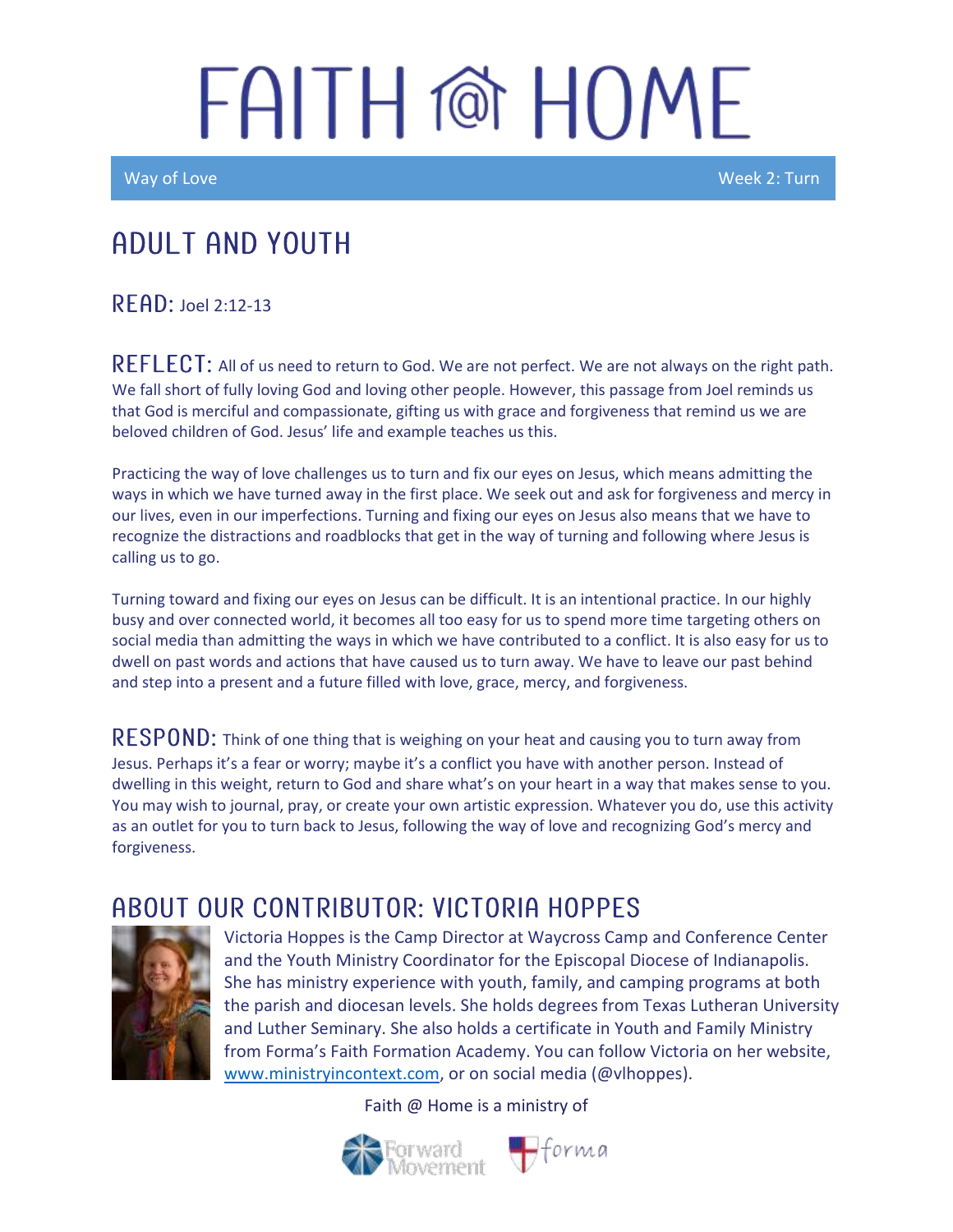Way of Love New York 2: Turn and the United States of the United States and Week 2: Turn

## Adult and youth

RFAD: Joel 2:12-13

REFLECT: All of us need to return to God. We are not perfect. We are not always on the right path. We fall short of fully loving God and loving other people. However, this passage from Joel reminds us that God is merciful and compassionate, gifting us with grace and forgiveness that remind us we are beloved children of God. Jesus' life and example teaches us this.

Practicing the way of love challenges us to turn and fix our eyes on Jesus, which means admitting the ways in which we have turned away in the first place. We seek out and ask for forgiveness and mercy in our lives, even in our imperfections. Turning and fixing our eyes on Jesus also means that we have to recognize the distractions and roadblocks that get in the way of turning and following where Jesus is calling us to go.

Turning toward and fixing our eyes on Jesus can be difficult. It is an intentional practice. In our highly busy and over connected world, it becomes all too easy for us to spend more time targeting others on social media than admitting the ways in which we have contributed to a conflict. It is also easy for us to dwell on past words and actions that have caused us to turn away. We have to leave our past behind and step into a present and a future filled with love, grace, mercy, and forgiveness.

 $\sf{RESPOND:}$  Think of one thing that is weighing on your heat and causing you to turn away from Jesus. Perhaps it's a fear or worry; maybe it's a conflict you have with another person. Instead of dwelling in this weight, return to God and share what's on your heart in a way that makes sense to you. You may wish to journal, pray, or create your own artistic expression. Whatever you do, use this activity as an outlet for you to turn back to Jesus, following the way of love and recognizing God's mercy and forgiveness.

#### ABOUT OUR CONTRIBUTOR: VICTORIA HOPPES



Victoria Hoppes is the Camp Director at Waycross Camp and Conference Center and the Youth Ministry Coordinator for the Episcopal Diocese of Indianapolis. She has ministry experience with youth, family, and camping programs at both the parish and diocesan levels. She holds degrees from Texas Lutheran University and Luther Seminary. She also holds a certificate in Youth and Family Ministry from Forma's Faith Formation Academy. You can follow Victoria on her website, [www.ministryincontext.com,](http://www.ministryincontext.com/) or on social media (@vlhoppes).